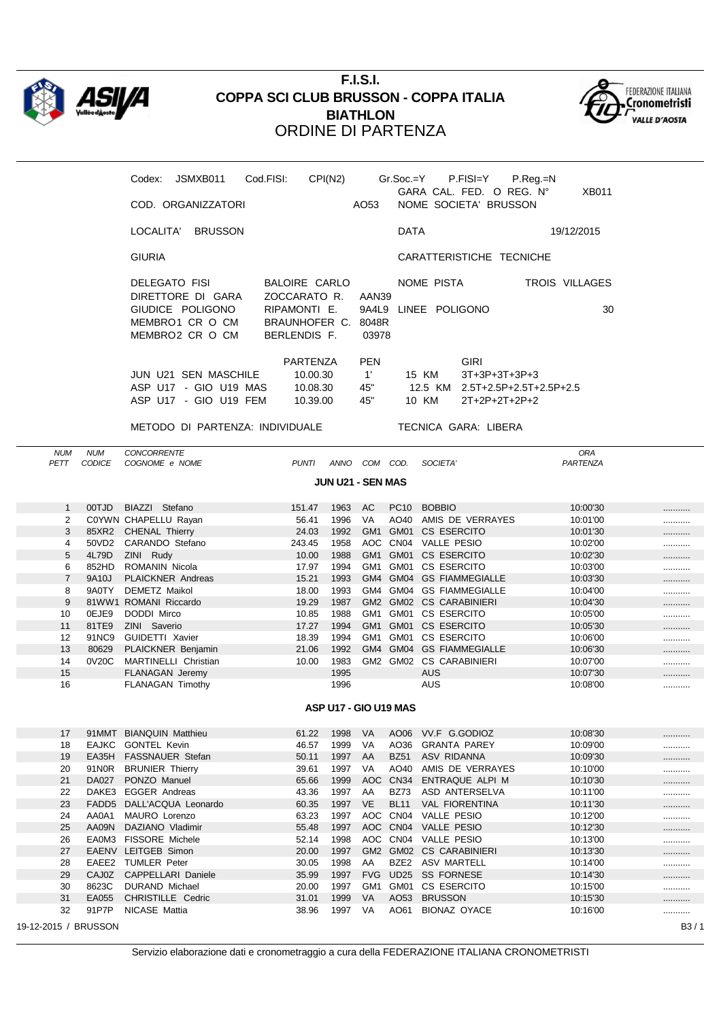

## **F.I.S.I. COPPA SCI CLUB BRUSSON - COPPA ITALIA BIATHLON** ORDINE DI PARTENZA



| Codex:        | JSMXB011              |                | Cod.FISI: | CPI(N2)                           |              |             | $Gr.Soc = Y$ P.FISI=Y                             | $P_{R}$ eq. $=N$ |                |  |
|---------------|-----------------------|----------------|-----------|-----------------------------------|--------------|-------------|---------------------------------------------------|------------------|----------------|--|
|               | COD. ORGANIZZATORI    |                |           |                                   | AO53         |             | GARA CAL. FED. O REG. N°<br>NOME SOCIETA' BRUSSON |                  | <b>XB011</b>   |  |
|               |                       |                |           |                                   |              |             |                                                   |                  |                |  |
| LOCALITA'     |                       | <b>BRUSSON</b> |           |                                   |              | <b>DATA</b> |                                                   |                  | 19/12/2015     |  |
| <b>GIURIA</b> |                       |                |           |                                   |              |             | CARATTERISTICHE TECNICHE                          |                  |                |  |
|               | DELEGATO FISI         |                |           | BALOIRE CARLO                     |              | NOME PISTA  |                                                   |                  | TROIS VILLAGES |  |
|               | DIRETTORE DI GARA     |                |           | ZOCCARATO R. AAN39                |              |             |                                                   |                  |                |  |
|               | GIUDICE POLIGONO      |                |           | RIPAMONTI E. 9A4L9 LINEE POLIGONO |              |             |                                                   |                  | 30             |  |
|               | MEMBRO1 CR O CM       |                |           | BRAUNHOFER C.                     | 8048R        |             |                                                   |                  |                |  |
|               | MEMBRO2 CR O CM       |                |           | BERLENDIS F.                      | 03978        |             |                                                   |                  |                |  |
|               |                       |                |           | PARTENZA                          | <b>PEN</b>   |             | <b>GIRI</b>                                       |                  |                |  |
|               | JUN U21 SEN MASCHILE  |                |           | 10.00.30                          | $1^{\prime}$ | 15 KM       | $3T+3P+3T+3P+3$                                   |                  |                |  |
|               | ASP U17 - GIO U19 MAS |                |           | 10.08.30                          | 45"          |             | 12.5 KM 2.5T+2.5P+2.5T+2.5P+2.5                   |                  |                |  |
|               | ASP U17 - GIO U19 FEM |                |           | 10.39.00                          | 45"          | 10 KM       | 2T+2P+2T+2P+2                                     |                  |                |  |
|               |                       |                |           |                                   |              |             |                                                   |                  |                |  |

METODO DI PARTENZA: INDIVIDUALE TECNICA GARA: LIBERA

NUM NUM CONCORRENTE ORA PETT CODICE COGNOME e NOME  $PUNTI$  ANNO COM COD. **JUN U21 - SEN MAS** 1 00TJD BIAZZI Stefano 151.47 1963 AC PC10 BOBBIO 10:00'30 ........... 2 C0YWN CHAPELLU Rayan 66.41 1996 VA AO40 AMIS DE VERRAYES 10:01'00 ............ 3 85XR2 CHENAL Thierry 24.03 1992 GM1 GM01 CS ESERCITO 10:01'30 4 50VD2 CARANDO Stefano 243.45 1958 AOC CN04 VALLE PESIO 10:02'00 ........... 5 4L79D ZINI Rudy 10.00 1988 GM1 GM01 CS ESERCITO 10:02'30 ………… 6 852HD ROMANIN Nicola 17.97 1994 GM1 GM01 CS ESERCITO 10:03'00 7 9A10J PLAICKNER Andreas 15.21 1993 GM4 GM04 GS FIAMMEGIALLE 10:03'30 8 9A0TY DEMETZ Maikol 18.00 1993 GM4 GM04 GS FIAMMEGIALLE 10:04'00 9 81WW1 ROMANI Riccardo 19.29 1987 GM2 GM02 CS CARABINIERI 10:04'30 10 0EJE9 DODDI Mirco 10.85 1988 GM1 GM01 CS ESERCITO 10:05'00 ........... 11 81TE9 ZINI Saverio 17.27 1994 GM1 GM01 CS ESERCITO 10:05'30 ........... 12 91NC9 GUIDETTI Xavier 18.39 1994 GM1 GM01 CS ESERCITO 10:06'00 13 80629 PLAICKNER Benjamin 21.06 1992 GM4 GM04 GS FIAMMEGIALLE 10:06'30 ............ 14 0V20C MARTINELLI Christian 10.00 1983 GM2 GM02 CS CARABINIERI 10:07'00 15 FLANAGAN Jeremy 1995 AUS 10:07'30 ........... 16 FLANAGAN Timothy 1996 AUS 10:08'00 ........... **ASP U17 - GIO U19 MAS** 17 91MMT BIANQUIN Matthieu 61.22 1998 VA AO06 VV.F G.GODIOZ 10:08'30 ........... 18 EAJKC GONTEL Kevin 46.57 1999 VA AO36 GRANTA PAREY 10:09'00 ............ 19 EA35H FASSNAUER Stefan 10:09'30 1997 AA BZ51 ASV RIDANNA 10:09'30 10:09'30 ............ 20 91NOR BRUNIER Thierry 39.61 1997 VA AO40 AMIS DE VERRAYES 10:10'00 ............ 21 DA027 PONZO Manuel **65.66 1999 AOC CN34 ENTRAQUE ALPI M** 10:10'30 ............ 22 DAKE3 EGGER Andreas 10 10:11'00 10:11'00 10:11'00 10:11'00 10:11'00 10:11'00 10:11'00 10:11'00 10:11'00 10:1 23 FADD5 DALL'ACQUA Leonardo 60.35 1997 VE BL11 VAL FIORENTINA 10:11'30 ........... 24 AA0A1 MAURO Lorenzo 63.23 1997 AOC CN04 VALLE PESIO 10:12'00 ........... 25 AA09N DAZIANO Vladimir 65.48 1997 AOC CN04 VALLE PESIO 10:12'30 26 EA0M3 FISSORE Michele 52.14 1998 AOC CN04 VALLE PESIO 10:13'00 ........... 27 EAENV LEITGEB Simon 20.00 1997 GM2 GM02 CS CARABINIERI 10:13'30 28 EAEE2 TUMLER Peter 30.05 1998 AA BZE2 ASV MARTELL 10:14'00 ........... 29 CAJ0Z CAPPELLARI Daniele 35.99 1997 FVG UD25 SS FORNESE 10:14'30 ............ 30 8623C DURAND Michael 20.00 1997 GM1 GM01 CS ESERCITO 10:15'00 ........... 31 EA055 CHRISTILLE Cedric 21.01 1999 VA AO53 BRUSSON 10:15'30 32 91P7P NICASE Mattia 1 10:16'00 1997 VA AO61 BIONAZ OYACE 10:16'00 ........... 19-12-2015 / BRUSSON B3 / 1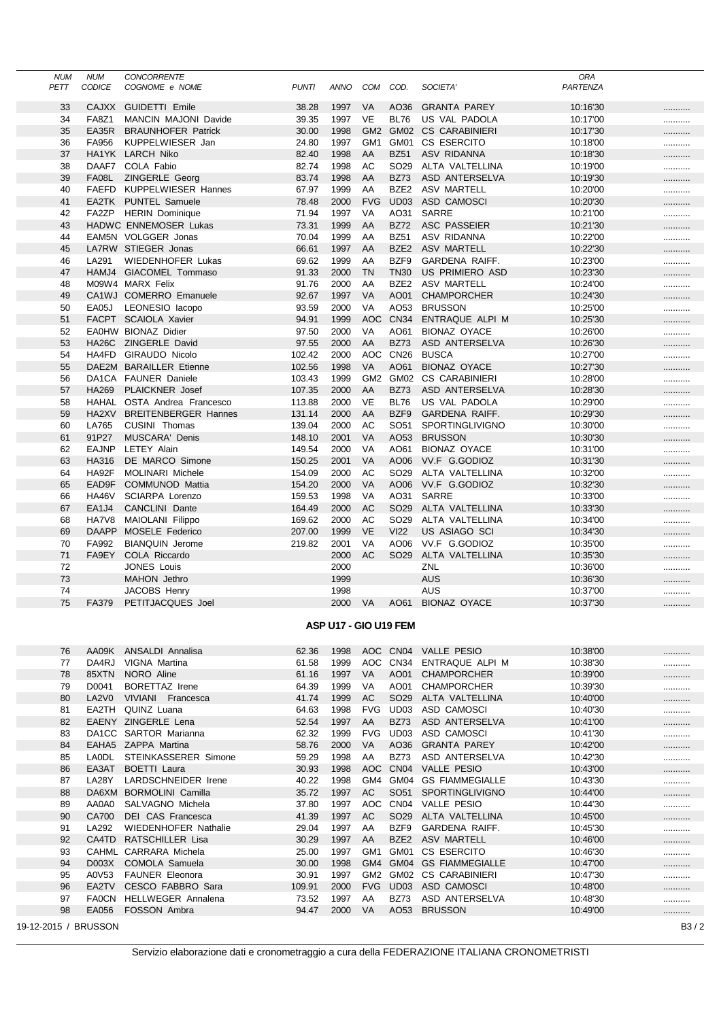| <b>NUM</b>            | <b>NUM</b>    | <b>CONCORRENTE</b>          |              |      |                 |                  |                       | <b>ORA</b> |                   |
|-----------------------|---------------|-----------------------------|--------------|------|-----------------|------------------|-----------------------|------------|-------------------|
| PETT                  | <b>CODICE</b> | COGNOME e NOME              | <b>PUNTI</b> | ANNO | COM             | COD.             | SOCIETA'              | PARTENZA   |                   |
| 33                    | <b>CAJXX</b>  | <b>GUIDETTI Emile</b>       | 38.28        | 1997 | VA              | AO36             | <b>GRANTA PAREY</b>   | 10:16'30   |                   |
| 34                    | <b>FA8Z1</b>  | <b>MANCIN MAJONI Davide</b> | 39.35        | 1997 | <b>VE</b>       | <b>BL76</b>      | US VAL PADOLA         | 10:17'00   |                   |
| 35                    | EA35R         | <b>BRAUNHOFER Patrick</b>   | 30.00        | 1998 | GM <sub>2</sub> | GM02             | <b>CS CARABINIERI</b> | 10:17'30   |                   |
| 36                    | FA956         | KUPPELWIESER Jan            | 24.80        | 1997 | GM <sub>1</sub> | GM01             | CS ESERCITO           | 10:18'00   |                   |
| 37                    |               | HA1YK LARCH Niko            | 82.40        | 1998 | AA              | <b>BZ51</b>      | ASV RIDANNA           | 10:18'30   |                   |
| 38                    | DAAF7         | COLA Fabio                  | 82.74        | 1998 | AC              | SO <sub>29</sub> | ALTA VALTELLINA       | 10:19'00   |                   |
| 39                    | FA08L         | ZINGERLE Georg              | 83.74        | 1998 | AA              | <b>BZ73</b>      | ASD ANTERSELVA        | 10:19'30   |                   |
| 40                    | FAEFD         | KUPPELWIESER Hannes         | 67.97        | 1999 | AA              | BZE <sub>2</sub> | <b>ASV MARTELL</b>    | 10:20'00   |                   |
| 41                    | EA2TK         | <b>PUNTEL Samuele</b>       | 78.48        | 2000 | <b>FVG</b>      | UD03             | ASD CAMOSCI           | 10:20'30   |                   |
| 42                    | FA2ZP         | <b>HERIN Dominique</b>      | 71.94        | 1997 | VA              | AO31             | <b>SARRE</b>          | 10:21'00   |                   |
| 43                    |               | HADWC ENNEMOSER Lukas       | 73.31        | 1999 | AA              | <b>BZ72</b>      | <b>ASC PASSEIER</b>   | 10:21'30   |                   |
| 44                    |               | EAM5N VOLGGER Jonas         | 70.04        | 1999 | AA              | <b>BZ51</b>      | ASV RIDANNA           | 10:22'00   |                   |
| 45                    |               | LA7RW STIEGER Jonas         | 66.61        | 1997 | AA              | BZE <sub>2</sub> | <b>ASV MARTELL</b>    | 10:22'30   |                   |
| 46                    | LA291         | <b>WIEDENHOFER Lukas</b>    | 69.62        | 1999 | AA              | BZF9             | <b>GARDENA RAIFF.</b> | 10:23'00   |                   |
| 47                    |               | HAMJ4 GIACOMEL Tommaso      | 91.33        | 2000 | <b>TN</b>       | <b>TN30</b>      | US PRIMIERO ASD       | 10:23'30   |                   |
| 48                    |               | M09W4 MARX Felix            | 91.76        | 2000 | AA              | BZE <sub>2</sub> | <b>ASV MARTELL</b>    | 10:24'00   |                   |
| 49                    |               | CA1WJ COMERRO Emanuele      | 92.67        | 1997 | <b>VA</b>       | AO01             | <b>CHAMPORCHER</b>    | 10:24'30   |                   |
| 50                    | EA05J         | LEONESIO lacopo             | 93.59        | 2000 | VA              | AO53             | <b>BRUSSON</b>        | 10:25'00   |                   |
| 51                    |               | FACPT SCAIOLA Xavier        | 94.91        | 1999 | <b>AOC</b>      | <b>CN34</b>      | ENTRAQUE ALPI M       | 10:25'30   |                   |
| 52                    |               | EA0HW BIONAZ Didier         | 97.50        | 2000 | VA              | AO61             | <b>BIONAZ OYACE</b>   | 10:26'00   |                   |
| 53                    |               | HA26C ZINGERLE David        | 97.55        | 2000 | AA              | <b>BZ73</b>      | ASD ANTERSELVA        | 10:26'30   |                   |
| 54                    | HA4FD         | GIRAUDO Nicolo              | 102.42       | 2000 | AOC             | <b>CN26</b>      | <b>BUSCA</b>          | 10:27'00   |                   |
| 55                    |               | DAE2M BARAILLER Etienne     | 102.56       | 1998 | <b>VA</b>       | AO61             | <b>BIONAZ OYACE</b>   | 10:27'30   |                   |
| 56                    |               | DA1CA FAUNER Daniele        | 103.43       | 1999 | GM <sub>2</sub> | GM02             | <b>CS CARABINIERI</b> | 10:28'00   |                   |
| 57                    | <b>HA269</b>  | <b>PLAICKNER</b> Josef      | 107.35       | 2000 | AA              | <b>BZ73</b>      | ASD ANTERSELVA        | 10:28'30   |                   |
| 58                    | HAHAL         | OSTA Andrea Francesco       | 113.88       | 2000 | VE              | <b>BL76</b>      | US VAL PADOLA         | 10:29'00   |                   |
| 59                    | HA2XV         | <b>BREITENBERGER Hannes</b> | 131.14       | 2000 | AA              | BZF9             | <b>GARDENA RAIFF.</b> | 10:29'30   |                   |
| 60                    | LA765         | CUSINI Thomas               | 139.04       | 2000 | AC              | SO <sub>51</sub> | SPORTINGLIVIGNO       | 10:30'00   |                   |
| 61                    | 91P27         | <b>MUSCARA' Denis</b>       | 148.10       | 2001 | VA              | AO53             | <b>BRUSSON</b>        | 10:30'30   |                   |
| 62                    | <b>EAJNP</b>  | LETEY Alain                 | 149.54       | 2000 | VA              | AO61             | <b>BIONAZ OYACE</b>   | 10:31'00   | <br>              |
| 63                    | HA316         | DE MARCO Simone             | 150.25       | 2001 | <b>VA</b>       | AO06             | VV.F G.GODIOZ         | 10:31'30   |                   |
| 64                    | HA92F         | <b>MOLINARI Michele</b>     | 154.09       | 2000 | AC              | SO <sub>29</sub> | ALTA VALTELLINA       | 10:32'00   |                   |
| 65                    | EAD9F         | <b>COMMUNOD Mattia</b>      | 154.20       | 2000 | <b>VA</b>       | AO06             | VV.F G.GODIOZ         | 10:32'30   |                   |
| 66                    | HA46V         | SCIARPA Lorenzo             | 159.53       | 1998 | VA              | AO31             | <b>SARRE</b>          | 10:33'00   |                   |
| 67                    | EA1J4         | CANCLINI Dante              | 164.49       | 2000 | <b>AC</b>       | SO <sub>29</sub> | ALTA VALTELLINA       | 10:33'30   |                   |
|                       | HA7V8         |                             | 169.62       | 2000 | AC              | SO <sub>29</sub> | ALTA VALTELLINA       | 10:34'00   |                   |
| 68<br>69              |               | MAIOLANI Filippo            |              | 1999 | <b>VE</b>       | <b>VI22</b>      |                       |            |                   |
| 70                    | <b>DAAPP</b>  | MOSELE Federico             | 207.00       |      | VA              | AO06             | US ASIAGO SCI         | 10:34'30   |                   |
|                       | FA992         | <b>BIANQUIN Jerome</b>      | 219.82       | 2001 | AC              |                  | VV.F G.GODIOZ         | 10:35'00   |                   |
| 71                    | FA9EY         | COLA Riccardo               |              | 2000 |                 | SO <sub>29</sub> | ALTA VALTELLINA       | 10:35'30   |                   |
| 72                    |               | <b>JONES Louis</b>          |              | 2000 |                 |                  | ZNL                   | 10:36'00   |                   |
| 73                    |               | MAHON Jethro                |              | 1999 |                 |                  | <b>AUS</b>            | 10:36'30   |                   |
| 74                    |               | <b>JACOBS Henry</b>         |              | 1998 |                 |                  | AUS                   | 10:37'00   |                   |
| 75                    | FA379         | PETITJACQUES Joel           |              | 2000 | <b>VA</b>       | AO61             | <b>BIONAZ OYACE</b>   | 10:37'30   |                   |
| ASP U17 - GIO U19 FEM |               |                             |              |      |                 |                  |                       |            |                   |
|                       |               |                             |              |      |                 |                  |                       |            |                   |
| 76                    |               | AA09K ANSALDI Annalisa      | 62.36        | 1998 |                 |                  | AOC CN04 VALLE PESIO  | 10:38'00   |                   |
| 77                    | DA4RJ         | VIGNA Martina               | 61.58        | 1999 |                 | AOC CN34         | ENTRAQUE ALPI M       | 10:38'30   |                   |
| 78                    | 85XTN         | NORO Aline                  | 61.16        | 1997 | VA              | AO01             | <b>CHAMPORCHER</b>    | 10:39'00   |                   |
| 79                    | D0041         | <b>BORETTAZ Irene</b>       | 64.39        | 1999 | VA              | AO01             | <b>CHAMPORCHER</b>    | 10:39'30   |                   |
| 80                    | LA2V0         | VIVIANI Francesca           | 41.74        | 1999 | AC              | SO <sub>29</sub> | ALTA VALTELLINA       | 10:40'00   |                   |
| 81                    | EA2TH         | QUINZ Luana                 | 64.63        | 1998 | <b>FVG</b>      | UD03             | ASD CAMOSCI           | 10:40'30   |                   |
| 82                    |               | EAENY ZINGERLE Lena         | 52.54        | 1997 | AA              | <b>BZ73</b>      | ASD ANTERSELVA        | 10:41'00   |                   |
| 83                    |               | DA1CC SARTOR Marianna       | 62.32        | 1999 | <b>FVG</b>      | UD <sub>03</sub> | ASD CAMOSCI           | 10:41'30   |                   |
| 84                    |               | EAHA5 ZAPPA Martina         | 58.76        | 2000 | VA              | AO36             | <b>GRANTA PAREY</b>   | 10:42'00   |                   |
| 85                    | LAODL         | STEINKASSERER Simone        | 59.29        | 1998 | AA              | <b>BZ73</b>      | ASD ANTERSELVA        | 10:42'30   |                   |
| 86                    | EA3AT         | <b>BOETTI</b> Laura         | 30.93        | 1998 | AOC             | CN <sub>04</sub> | <b>VALLE PESIO</b>    | 10:43'00   |                   |
| 87                    | LA28Y         | LARDSCHNEIDER Irene         | 40.22        | 1998 | GM4             |                  | GM04 GS FIAMMEGIALLE  | 10:43'30   |                   |
| 88                    | DA6XM         | <b>BORMOLINI Camilla</b>    | 35.72        | 1997 | AC              | SO <sub>51</sub> | SPORTINGLIVIGNO       | 10:44'00   |                   |
| 89                    | AA0A0         | SALVAGNO Michela            | 37.80        | 1997 | AOC             | CN <sub>04</sub> | VALLE PESIO           | 10:44'30   |                   |
| 90                    | CA700         | DEI CAS Francesca           | 41.39        | 1997 | AC              | SO <sub>29</sub> | ALTA VALTELLINA       | 10:45'00   |                   |
| 91                    | LA292         | <b>WIEDENHOFER Nathalie</b> | 29.04        | 1997 | AA              | BZF9             | GARDENA RAIFF.        | 10:45'30   |                   |
| 92                    | CA4TD         | RATSCHILLER Lisa            | 30.29        | 1997 | AA              | BZE <sub>2</sub> | <b>ASV MARTELL</b>    | 10:46'00   |                   |
| 93                    |               | CAHML CARRARA Michela       | 25.00        | 1997 | GM <sub>1</sub> | GM01             | CS ESERCITO           | 10:46'30   |                   |
| 94                    | D003X         | COMOLA Samuela              | 30.00        | 1998 | GM4             |                  | GM04 GS FIAMMEGIALLE  | 10:47'00   |                   |
| 95                    | A0V53         | <b>FAUNER Eleonora</b>      | 30.91        | 1997 | GM2             |                  | GM02 CS CARABINIERI   | 10:47'30   |                   |
| 96                    | EA2TV         | CESCO FABBRO Sara           | 109.91       | 2000 | <b>FVG</b>      | UD03             | ASD CAMOSCI           | 10:48'00   |                   |
| 97                    | <b>FA0CN</b>  | HELLWEGER Annalena          | 73.52        | 1997 | AA              | BZ73             | ASD ANTERSELVA        | 10:48'30   |                   |
| 98                    | EA056         | FOSSON Ambra                | 94.47        | 2000 | VA              | AO53             | <b>BRUSSON</b>        | 10:49'00   | <br>              |
|                       |               |                             |              |      |                 |                  |                       |            |                   |
| 19-12-2015 / BRUSSON  |               |                             |              |      |                 |                  |                       |            | B <sub>3</sub> /2 |